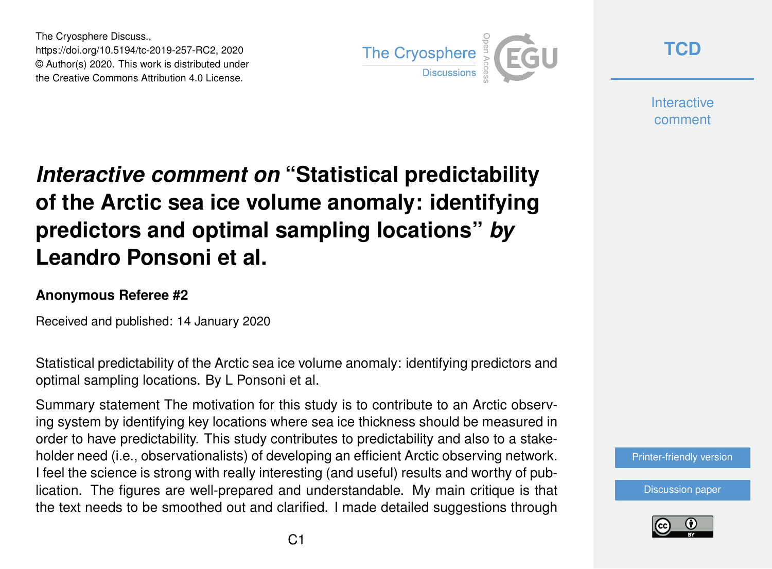The Cryosphere Discuss., https://doi.org/10.5194/tc-2019-257-RC2, 2020 © Author(s) 2020. This work is distributed under the Creative Commons Attribution 4.0 License.



**[TCD](https://www.the-cryosphere-discuss.net/)**

**Interactive** comment

# *Interactive comment on* **"Statistical predictability of the Arctic sea ice volume anomaly: identifying predictors and optimal sampling locations"** *by* **Leandro Ponsoni et al.**

#### **Anonymous Referee #2**

Received and published: 14 January 2020

Statistical predictability of the Arctic sea ice volume anomaly: identifying predictors and optimal sampling locations. By L Ponsoni et al.

Summary statement The motivation for this study is to contribute to an Arctic observing system by identifying key locations where sea ice thickness should be measured in order to have predictability. This study contributes to predictability and also to a stakeholder need (i.e., observationalists) of developing an efficient Arctic observing network. I feel the science is strong with really interesting (and useful) results and worthy of publication. The figures are well-prepared and understandable. My main critique is that the text needs to be smoothed out and clarified. I made detailed suggestions through

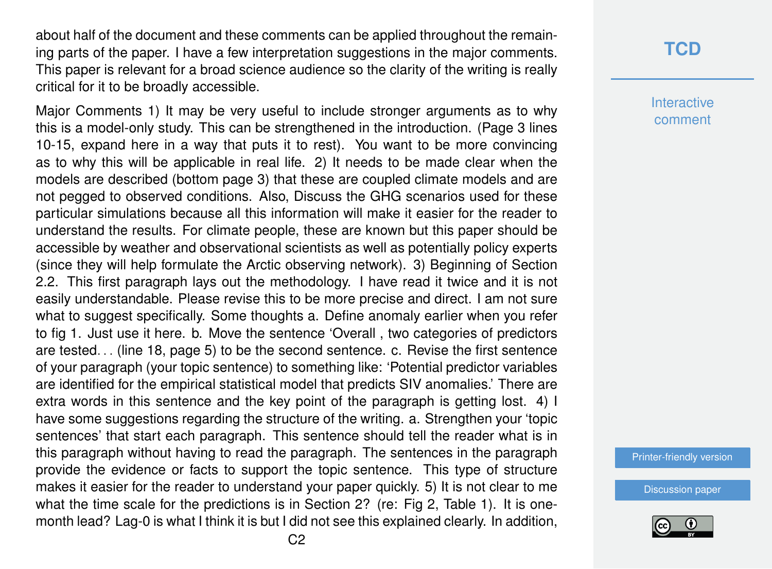about half of the document and these comments can be applied throughout the remaining parts of the paper. I have a few interpretation suggestions in the major comments. This paper is relevant for a broad science audience so the clarity of the writing is really critical for it to be broadly accessible.

Major Comments 1) It may be very useful to include stronger arguments as to why this is a model-only study. This can be strengthened in the introduction. (Page 3 lines 10-15, expand here in a way that puts it to rest). You want to be more convincing as to why this will be applicable in real life. 2) It needs to be made clear when the models are described (bottom page 3) that these are coupled climate models and are not pegged to observed conditions. Also, Discuss the GHG scenarios used for these particular simulations because all this information will make it easier for the reader to understand the results. For climate people, these are known but this paper should be accessible by weather and observational scientists as well as potentially policy experts (since they will help formulate the Arctic observing network). 3) Beginning of Section 2.2. This first paragraph lays out the methodology. I have read it twice and it is not easily understandable. Please revise this to be more precise and direct. I am not sure what to suggest specifically. Some thoughts a. Define anomaly earlier when you refer to fig 1. Just use it here. b. Move the sentence 'Overall , two categories of predictors are tested. . . (line 18, page 5) to be the second sentence. c. Revise the first sentence of your paragraph (your topic sentence) to something like: 'Potential predictor variables are identified for the empirical statistical model that predicts SIV anomalies.' There are extra words in this sentence and the key point of the paragraph is getting lost. 4) I have some suggestions regarding the structure of the writing. a. Strengthen your 'topic sentences' that start each paragraph. This sentence should tell the reader what is in this paragraph without having to read the paragraph. The sentences in the paragraph provide the evidence or facts to support the topic sentence. This type of structure makes it easier for the reader to understand your paper quickly. 5) It is not clear to me what the time scale for the predictions is in Section 2? (re: Fig 2, Table 1). It is onemonth lead? Lag-0 is what I think it is but I did not see this explained clearly. In addition,

### **[TCD](https://www.the-cryosphere-discuss.net/)**

**Interactive** comment

[Printer-friendly version](https://www.the-cryosphere-discuss.net/tc-2019-257/tc-2019-257-RC2-print.pdf)

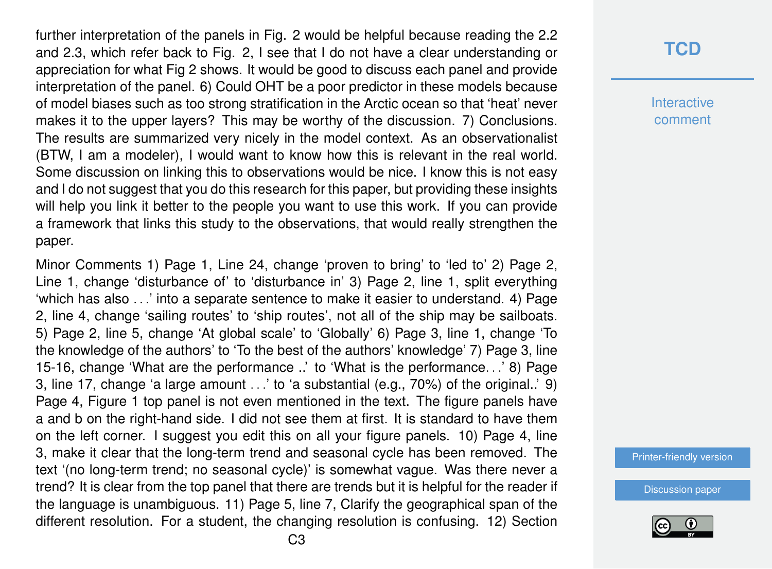further interpretation of the panels in Fig. 2 would be helpful because reading the 2.2 and 2.3, which refer back to Fig. 2, I see that I do not have a clear understanding or appreciation for what Fig 2 shows. It would be good to discuss each panel and provide interpretation of the panel. 6) Could OHT be a poor predictor in these models because of model biases such as too strong stratification in the Arctic ocean so that 'heat' never makes it to the upper layers? This may be worthy of the discussion. 7) Conclusions. The results are summarized very nicely in the model context. As an observationalist (BTW, I am a modeler), I would want to know how this is relevant in the real world. Some discussion on linking this to observations would be nice. I know this is not easy and I do not suggest that you do this research for this paper, but providing these insights will help you link it better to the people you want to use this work. If you can provide a framework that links this study to the observations, that would really strengthen the paper.

Minor Comments 1) Page 1, Line 24, change 'proven to bring' to 'led to' 2) Page 2, Line 1, change 'disturbance of' to 'disturbance in' 3) Page 2, line 1, split everything 'which has also . . .' into a separate sentence to make it easier to understand. 4) Page 2, line 4, change 'sailing routes' to 'ship routes', not all of the ship may be sailboats. 5) Page 2, line 5, change 'At global scale' to 'Globally' 6) Page 3, line 1, change 'To the knowledge of the authors' to 'To the best of the authors' knowledge' 7) Page 3, line 15-16, change 'What are the performance ..' to 'What is the performance. . .' 8) Page 3, line 17, change 'a large amount . . .' to 'a substantial (e.g., 70%) of the original..' 9) Page 4, Figure 1 top panel is not even mentioned in the text. The figure panels have a and b on the right-hand side. I did not see them at first. It is standard to have them on the left corner. I suggest you edit this on all your figure panels. 10) Page 4, line 3, make it clear that the long-term trend and seasonal cycle has been removed. The text '(no long-term trend; no seasonal cycle)' is somewhat vague. Was there never a trend? It is clear from the top panel that there are trends but it is helpful for the reader if the language is unambiguous. 11) Page 5, line 7, Clarify the geographical span of the different resolution. For a student, the changing resolution is confusing. 12) Section

#### **[TCD](https://www.the-cryosphere-discuss.net/)**

**Interactive** comment

[Printer-friendly version](https://www.the-cryosphere-discuss.net/tc-2019-257/tc-2019-257-RC2-print.pdf)